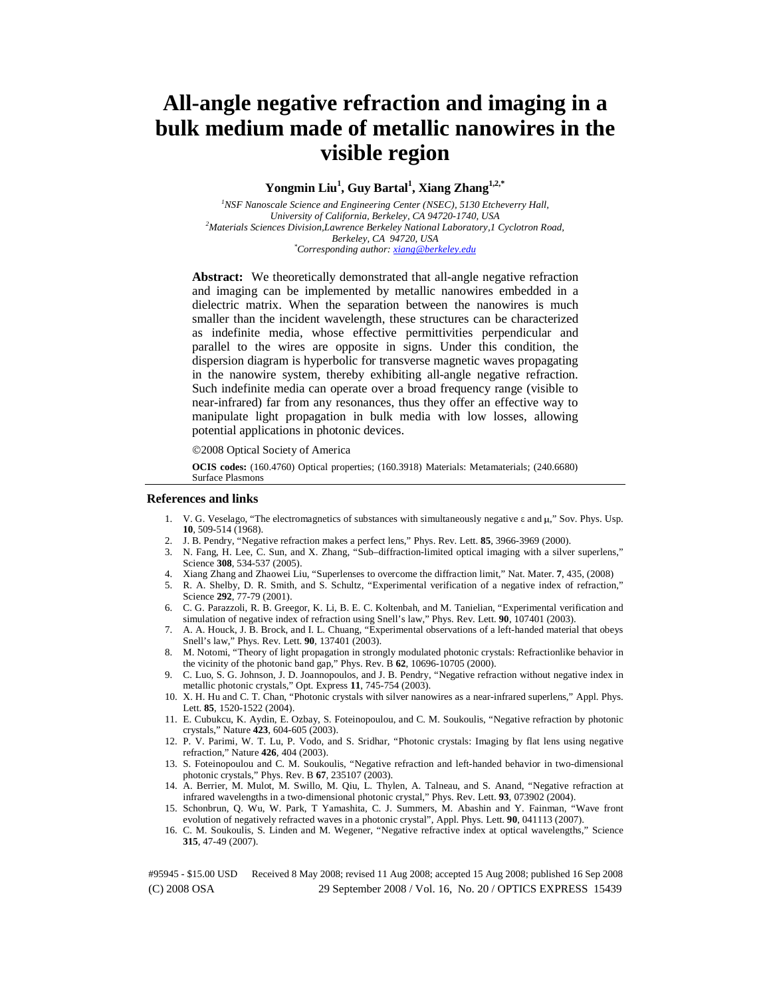# **All-angle negative refraction and imaging in a bulk medium made of metallic nanowires in the visible region**

# **Yongmin Liu1 , Guy Bartal<sup>1</sup> , Xiang Zhang1,2,\***

<sup>1</sup> NSF Nanoscale Science and Engineering Center (NSEC), 5130 Etcheverry Hall, *University of California, Berkeley, CA 94720-1740, USA 2 Materials Sciences Division,Lawrence Berkeley National Laboratory,1 Cyclotron Road, Berkeley, CA 94720, USA \* Corresponding author: xiang@berkeley.edu*

Abstract: We theoretically demonstrated that all-angle negative refraction and imaging can be implemented by metallic nanowires embedded in a dielectric matrix. When the separation between the nanowires is much smaller than the incident wavelength, these structures can be characterized as indefinite media, whose effective permittivities perpendicular and parallel to the wires are opposite in signs. Under this condition, the dispersion diagram is hyperbolic for transverse magnetic waves propagating in the nanowire system, thereby exhibiting all-angle negative refraction. Such indefinite media can operate over a broad frequency range (visible to near-infrared) far from any resonances, thus they offer an effective way to manipulate light propagation in bulk media with low losses, allowing potential applications in photonic devices.

©2008 Optical Society of America

**OCIS codes:** (160.4760) Optical properties; (160.3918) Materials: Metamaterials; (240.6680) Surface Plasmons

## **References and links**

- 1. V. G. Veselago, "The electromagnetics of substances with simultaneously negative ε and μ," Sov. Phys. Usp. **10**, 509-514 (1968).
- 2. J. B. Pendry, "Negative refraction makes a perfect lens," Phys. Rev. Lett. **85**, 3966-3969 (2000).
- 3. N. Fang, H. Lee, C. Sun, and X. Zhang, "Sub–diffraction-limited optical imaging with a silver superlens," Science **308**, 534-537 (2005).
- 4. Xiang Zhang and Zhaowei Liu, "Superlenses to overcome the diffraction limit," Nat. Mater. **7**, 435, (2008) 5. R. A. Shelby, D. R. Smith, and S. Schultz, "Experimental verification of a negative index of refraction," Science **292**, 77-79 (2001).
- 6. C. G. Parazzoli, R. B. Greegor, K. Li, B. E. C. Koltenbah, and M. Tanielian, "Experimental verification and simulation of negative index of refraction using Snell's law," Phys. Rev. Lett. **90**, 107401 (2003).
- 7. A. A. Houck, J. B. Brock, and I. L. Chuang, "Experimental observations of a left-handed material that obeys Snell's law," Phys. Rev. Lett. **90**, 137401 (2003).
- 8. M. Notomi, "Theory of light propagation in strongly modulated photonic crystals: Refractionlike behavior in the vicinity of the photonic band gap," Phys. Rev. B **62**, 10696-10705 (2000).
- 9. C. Luo, S. G. Johnson, J. D. Joannopoulos, and J. B. Pendry, "Negative refraction without negative index in metallic photonic crystals," Opt. Express **11**, 745-754 (2003).
- 10. X. H. Hu and C. T. Chan, "Photonic crystals with silver nanowires as a near-infrared superlens," Appl. Phys. Lett. **85**, 1520-1522 (2004).
- 11. E. Cubukcu, K. Aydin, E. Ozbay, S. Foteinopoulou, and C. M. Soukoulis, "Negative refraction by photonic crystals," Nature **423**, 604-605 (2003).
- 12. P. V. Parimi, W. T. Lu, P. Vodo, and S. Sridhar, "Photonic crystals: Imaging by flat lens using negative refraction," Nature **426**, 404 (2003).
- 13. S. Foteinopoulou and C. M. Soukoulis, "Negative refraction and left-handed behavior in two-dimensional photonic crystals," Phys. Rev. B **67**, 235107 (2003).
- 14. A. Berrier, M. Mulot, M. Swillo, M. Qiu, L. Thylen, A. Talneau, and S. Anand, "Negative refraction at infrared wavelengths in a two-dimensional photonic crystal," Phys. Rev. Lett. **93**, 073902 (2004).
- 15. Schonbrun, Q. Wu, W. Park, T Yamashita, C. J. Summers, M. Abashin and Y. Fainman, "Wave front evolution of negatively refracted waves in a photonic crystal", Appl. Phys. Lett. **90**, 041113 (2007).
- 16. C. M. Soukoulis, S. Linden and M. Wegener, "Negative refractive index at optical wavelengths," Science **315**, 47-49 (2007).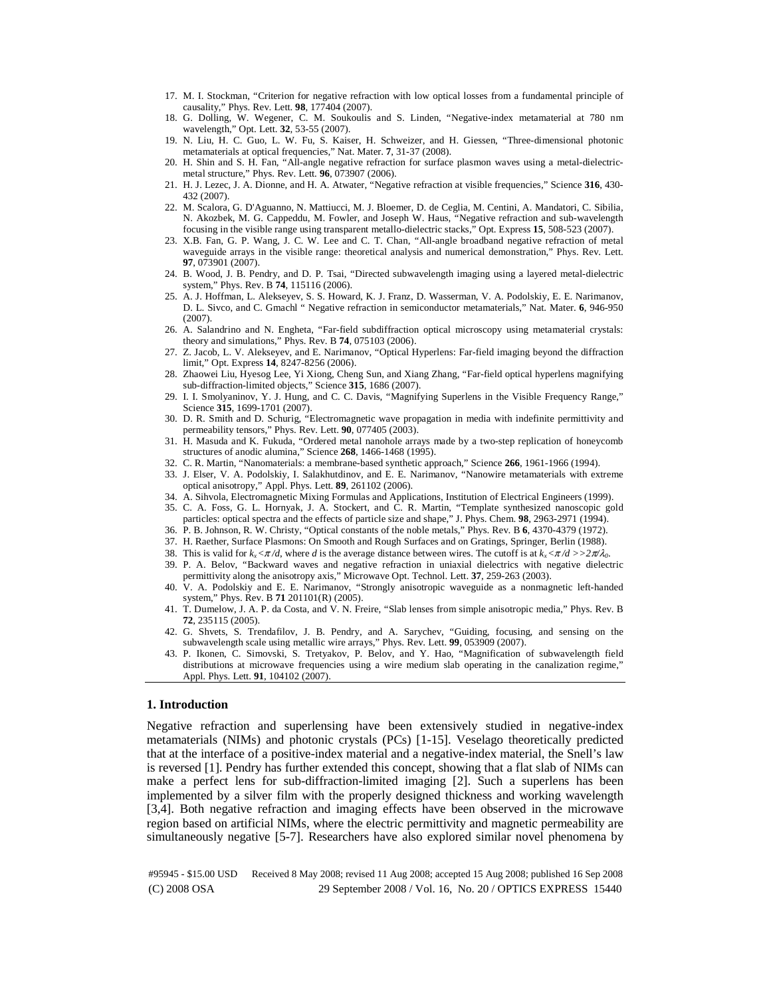- 17. M. I. Stockman, "Criterion for negative refraction with low optical losses from a fundamental principle of causality," Phys. Rev. Lett. **98**, 177404 (2007).
- 18. G. Dolling, W. Wegener, C. M. Soukoulis and S. Linden, "Negative-index metamaterial at 780 nm wavelength," Opt. Lett. **32**, 53-55 (2007).
- 19. N. Liu, H. C. Guo, L. W. Fu, S. Kaiser, H. Schweizer, and H. Giessen, "Three-dimensional photonic metamaterials at optical frequencies," Nat. Mater. **7**, 31-37 (2008).
- 20. H. Shin and S. H. Fan, "All-angle negative refraction for surface plasmon waves using a metal-dielectricmetal structure," Phys. Rev. Lett. **96**, 073907 (2006).
- 21. H. J. Lezec, J. A. Dionne, and H. A. Atwater, "Negative refraction at visible frequencies," Science **316**, 430- 432 (2007).
- 22. M. Scalora, G. D'Aguanno, N. Mattiucci, M. J. Bloemer, D. de Ceglia, M. Centini, A. Mandatori, C. Sibilia, N. Akozbek, M. G. Cappeddu, M. Fowler, and Joseph W. Haus, "Negative refraction and sub-wavelength focusing in the visible range using transparent metallo-dielectric stacks," Opt. Express **15**, 508-523 (2007).
- 23. X.B. Fan, G. P. Wang, J. C. W. Lee and C. T. Chan, "All-angle broadband negative refraction of metal waveguide arrays in the visible range: theoretical analysis and numerical demonstration," Phys. Rev. Lett. **97**, 073901 (2007).
- 24. B. Wood, J. B. Pendry, and D. P. Tsai, "Directed subwavelength imaging using a layered metal-dielectric system," Phys. Rev. B **74**, 115116 (2006).
- 25. A. J. Hoffman, L. Alekseyev, S. S. Howard, K. J. Franz, D. Wasserman, V. A. Podolskiy, E. E. Narimanov, D. L. Sivco, and C. Gmachl " Negative refraction in semiconductor metamaterials," Nat. Mater. **6**, 946-950 (2007).
- 26. A. Salandrino and N. Engheta, "Far-field subdiffraction optical microscopy using metamaterial crystals: theory and simulations," Phys. Rev. B **74**, 075103 (2006).
- 27. Z. Jacob, L. V. Alekseyev, and E. Narimanov, "Optical Hyperlens: Far-field imaging beyond the diffraction limit," Opt. Express **14**, 8247-8256 (2006).
- 28. Zhaowei Liu, Hyesog Lee, Yi Xiong, Cheng Sun, and Xiang Zhang, "Far-field optical hyperlens magnifying sub-diffraction-limited objects," Science **315**, 1686 (2007).
- 29. I. I. Smolyaninov, Y. J. Hung, and C. C. Davis, "Magnifying Superlens in the Visible Frequency Range," Science **315**, 1699-1701 (2007).
- 30. D. R. Smith and D. Schurig, "Electromagnetic wave propagation in media with indefinite permittivity and permeability tensors," Phys. Rev. Lett. **90**, 077405 (2003).
- 31. H. Masuda and K. Fukuda, "Ordered metal nanohole arrays made by a two-step replication of honeycomb structures of anodic alumina," Science **268**, 1466-1468 (1995).
- 32. C. R. Martin, "Nanomaterials: a membrane-based synthetic approach," Science **266**, 1961-1966 (1994).
- 33. J. Elser, V. A. Podolskiy, I. Salakhutdinov, and E. E. Narimanov, "Nanowire metamaterials with extreme optical anisotropy," Appl. Phys. Lett. **89**, 261102 (2006).
- 34. A. Sihvola, Electromagnetic Mixing Formulas and Applications, Institution of Electrical Engineers (1999).
- 35. C. A. Foss, G. L. Hornyak, J. A. Stockert, and C. R. Martin, "Template synthesized nanoscopic gold particles: optical spectra and the effects of particle size and shape," J. Phys. Chem. **98**, 2963-2971 (1994).
- 36. P. B. Johnson, R. W. Christy, "Optical constants of the noble metals," Phys. Rev. B **6**, 4370-4379 (1972).
- 37. H. Raether, Surface Plasmons: On Smooth and Rough Surfaces and on Gratings, Springer, Berlin (1988).
- 38. This is valid for  $k_x < \pi/d$ , where *d* is the average distance between wires. The cutoff is at  $k_x < \pi/d$  >>2 $\pi/\lambda_0$ .
- 39. P. A. Belov, "Backward waves and negative refraction in uniaxial dielectrics with negative dielectric permittivity along the anisotropy axis," Microwave Opt. Technol. Lett. **37**, 259-263 (2003).
- 40. V. A. Podolskiy and E. E. Narimanov, "Strongly anisotropic waveguide as a nonmagnetic left-handed system," Phys. Rev. B **71** 201101(R) (2005).
- 41. T. Dumelow, J. A. P. da Costa, and V. N. Freire, "Slab lenses from simple anisotropic media," Phys. Rev. B **72**, 235115 (2005).
- 42. G. Shvets, S. Trendafilov, J. B. Pendry, and A. Sarychev, "Guiding, focusing, and sensing on the subwavelength scale using metallic wire arrays," Phys. Rev. Lett. **99**, 053909 (2007).
- 43. P. Ikonen, C. Simovski, S. Tretyakov, P. Belov, and Y. Hao, "Magnification of subwavelength field distributions at microwave frequencies using a wire medium slab operating in the canalization regime," Appl. Phys. Lett. **91**, 104102 (2007).

## **1. Introduction**

Negative refraction and superlensing have been extensively studied in negative-index metamaterials (NIMs) and photonic crystals (PCs) [1-15]. Veselago theoretically predicted that at the interface of a positive-index material and a negative-index material, the Snell's law is reversed [1]. Pendry has further extended this concept, showing that a flat slab of NIMs can make a perfect lens for sub-diffraction-limited imaging [2]. Such a superlens has been implemented by a silver film with the properly designed thickness and working wavelength [3,4]. Both negative refraction and imaging effects have been observed in the microwave region based on artificial NIMs, where the electric permittivity and magnetic permeability are simultaneously negative [5-7]. Researchers have also explored similar novel phenomena by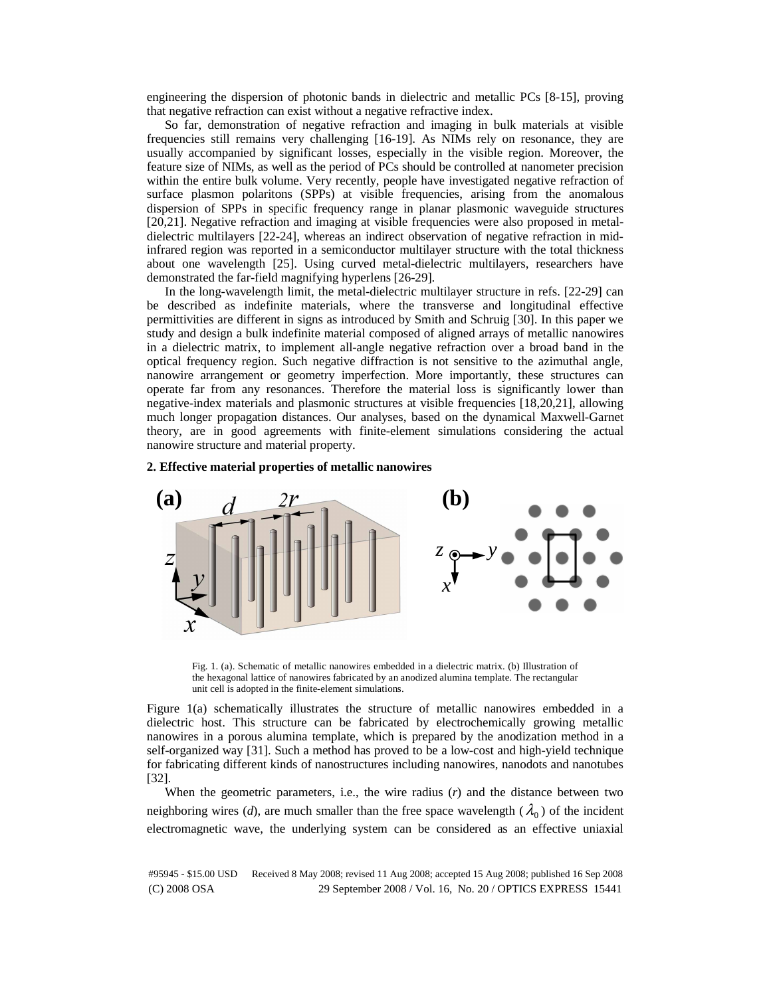engineering the dispersion of photonic bands in dielectric and metallic PCs [8-15], proving that negative refraction can exist without a negative refractive index.

So far, demonstration of negative refraction and imaging in bulk materials at visible frequencies still remains very challenging [16-19]. As NIMs rely on resonance, they are usually accompanied by significant losses, especially in the visible region. Moreover, the feature size of NIMs, as well as the period of PCs should be controlled at nanometer precision within the entire bulk volume. Very recently, people have investigated negative refraction of surface plasmon polaritons (SPPs) at visible frequencies, arising from the anomalous dispersion of SPPs in specific frequency range in planar plasmonic waveguide structures [20,21]. Negative refraction and imaging at visible frequencies were also proposed in metaldielectric multilayers [22-24], whereas an indirect observation of negative refraction in midinfrared region was reported in a semiconductor multilayer structure with the total thickness about one wavelength [25]. Using curved metal-dielectric multilayers, researchers have demonstrated the far-field magnifying hyperlens [26-29].

In the long-wavelength limit, the metal-dielectric multilayer structure in refs. [22-29] can be described as indefinite materials, where the transverse and longitudinal effective permittivities are different in signs as introduced by Smith and Schruig [30]. In this paper we study and design a bulk indefinite material composed of aligned arrays of metallic nanowires in a dielectric matrix, to implement all-angle negative refraction over a broad band in the optical frequency region. Such negative diffraction is not sensitive to the azimuthal angle, nanowire arrangement or geometry imperfection. More importantly, these structures can operate far from any resonances. Therefore the material loss is significantly lower than negative-index materials and plasmonic structures at visible frequencies [18,20,21], allowing much longer propagation distances. Our analyses, based on the dynamical Maxwell-Garnet theory, are in good agreements with finite-element simulations considering the actual nanowire structure and material property.

#### **2. Effective material properties of metallic nanowires**



Fig. 1. (a). Schematic of metallic nanowires embedded in a dielectric matrix. (b) Illustration of the hexagonal lattice of nanowires fabricated by an anodized alumina template. The rectangular unit cell is adopted in the finite-element simulations.

Figure 1(a) schematically illustrates the structure of metallic nanowires embedded in a dielectric host. This structure can be fabricated by electrochemically growing metallic nanowires in a porous alumina template, which is prepared by the anodization method in a self-organized way [31]. Such a method has proved to be a low-cost and high-yield technique for fabricating different kinds of nanostructures including nanowires, nanodots and nanotubes [32].

When the geometric parameters, i.e., the wire radius  $(r)$  and the distance between two neighboring wires (*d*), are much smaller than the free space wavelength ( $\lambda_0$ ) of the incident electromagnetic wave, the underlying system can be considered as an effective uniaxial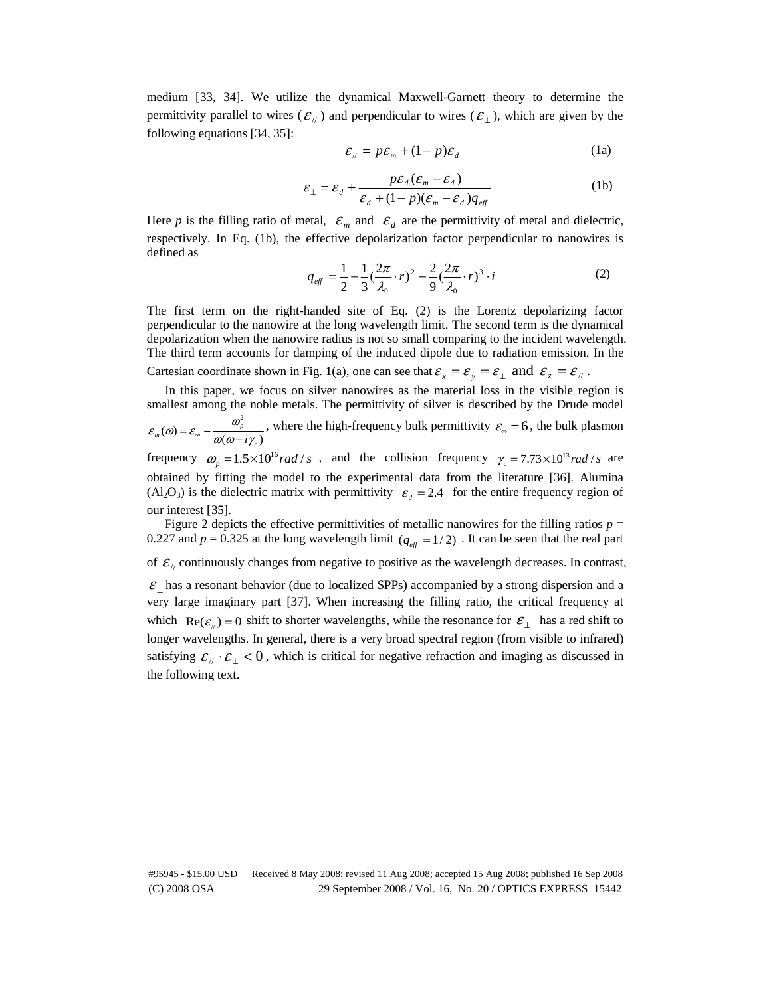medium [33, 34]. We utilize the dynamical Maxwell-Garnett theory to determine the permittivity parallel to wires  $(\mathcal{E}_{/\!/})$  and perpendicular to wires  $(\mathcal{E}_{\perp})$ , which are given by the following equations [34, 35]:

$$
\varepsilon_{\parallel} = p\varepsilon_m + (1 - p)\varepsilon_d \tag{1a}
$$

$$
\mathcal{E}_{\perp} = \mathcal{E}_{d} + \frac{p\mathcal{E}_{d}(\mathcal{E}_{m} - \mathcal{E}_{d})}{\mathcal{E}_{d} + (1 - p)(\mathcal{E}_{m} - \mathcal{E}_{d})q_{eff}}
$$
(1b)

Here *p* is the filling ratio of metal,  $\mathcal{E}_m$  and  $\mathcal{E}_d$  are the permittivity of metal and dielectric, respectively. In Eq. (1b), the effective depolarization factor perpendicular to nanowires is defined as

$$
q_{\text{eff}} = \frac{1}{2} - \frac{1}{3} (\frac{2\pi}{\lambda_0} \cdot r)^2 - \frac{2}{9} (\frac{2\pi}{\lambda_0} \cdot r)^3 \cdot i
$$
 (2)

The first term on the right-handed site of Eq. (2) is the Lorentz depolarizing factor perpendicular to the nanowire at the long wavelength limit. The second term is the dynamical depolarization when the nanowire radius is not so small comparing to the incident wavelength. The third term accounts for damping of the induced dipole due to radiation emission. In the

Cartesian coordinate shown in Fig. 1(a), one can see that  $\varepsilon_x = \varepsilon_y = \varepsilon_{\perp}$  and  $\varepsilon_z = \varepsilon_{\parallel}$ .

In this paper, we focus on silver nanowires as the material loss in the visible region is smallest among the noble metals. The permittivity of silver is described by the Drude model

$$
\varepsilon_m(\omega) = \varepsilon_{\infty} - \frac{\omega_p^2}{\omega(\omega + i\gamma_c)}
$$
, where the high-frequency bulk permittivity  $\varepsilon_{\infty} = 6$ , the bulk plasmon

frequency  $\omega_p = 1.5 \times 10^{16}$  *rad* / *s*, and the collision frequency  $\gamma_c = 7.73 \times 10^{13}$  *rad* / *s* are obtained by fitting the model to the experimental data from the literature [36]. Alumina  $(A_2O_3)$  is the dielectric matrix with permittivity  $\varepsilon_a = 2.4$  for the entire frequency region of our interest [35].

Figure 2 depicts the effective permittivities of metallic nanowires for the filling ratios  $p =$ 0.227 and  $p = 0.325$  at the long wavelength limit ( $q_{\text{eff}} = 1/2$ ). It can be seen that the real part

of  $\mathcal{E}_{\parallel}$  continuously changes from negative to positive as the wavelength decreases. In contrast,

 $\mathcal{E}_\perp$  has a resonant behavior (due to localized SPPs) accompanied by a strong dispersion and a very large imaginary part [37]. When increasing the filling ratio, the critical frequency at which  $\text{Re}(\varepsilon_{\mu}) = 0$  shift to shorter wavelengths, while the resonance for  $\varepsilon_{\mu}$  has a red shift to longer wavelengths. In general, there is a very broad spectral region (from visible to infrared) satisfying  $\varepsilon_{\mu} \cdot \varepsilon_{\perp} < 0$ , which is critical for negative refraction and imaging as discussed in the following text.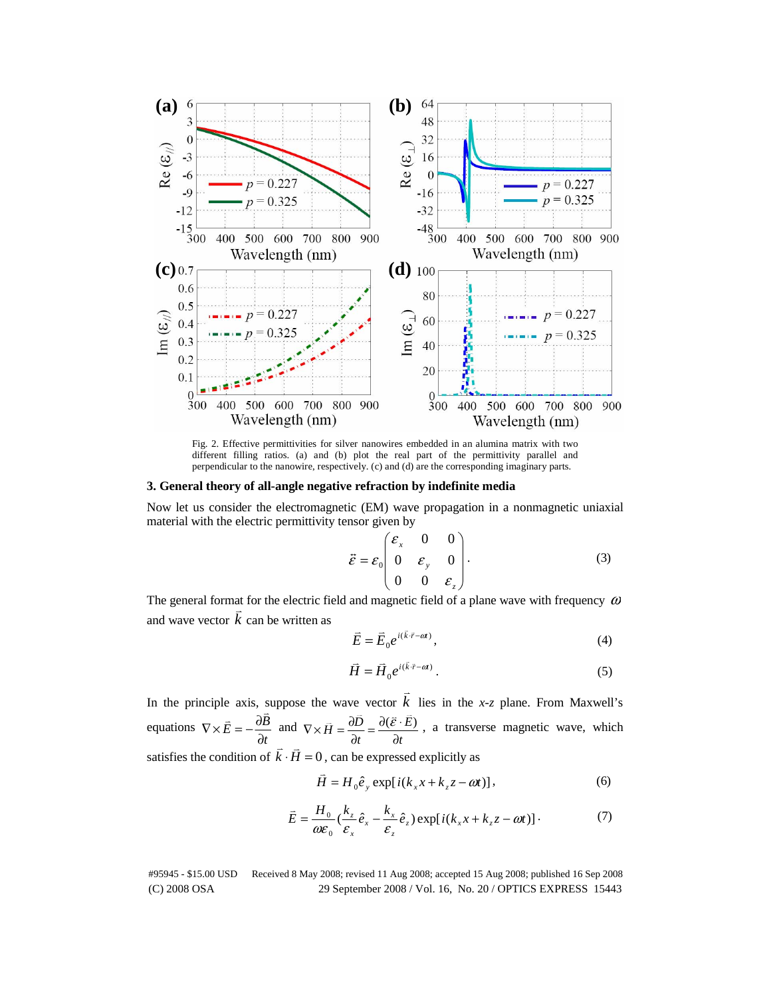

Fig. 2. Effective permittivities for silver nanowires embedded in an alumina matrix with two different filling ratios. (a) and (b) plot the real part of the permittivity parallel and perpendicular to the nanowire, respectively. (c) and (d) are the corresponding imaginary parts.

## **3. General theory of all-angle negative refraction by indefinite media**

Now let us consider the electromagnetic (EM) wave propagation in a nonmagnetic uniaxial material with the electric permittivity tensor given by

$$
\vec{\varepsilon} = \varepsilon_0 \begin{pmatrix} \varepsilon_x & 0 & 0 \\ 0 & \varepsilon_y & 0 \\ 0 & 0 & \varepsilon_z \end{pmatrix} . \tag{3}
$$

The general format for the electric field and magnetic field of a plane wave with frequency  $\omega$ and wave vector  $k$  can be written as

$$
\vec{E} = \vec{E}_0 e^{i(\vec{k} \cdot \vec{r} - \alpha t)},\tag{4}
$$

$$
\vec{H} = \vec{H}_0 e^{i(\vec{k} \cdot \vec{r} - \omega)} \,. \tag{5}
$$

In the principle axis, suppose the wave vector  $k$  lies in the *x*-*z* plane. From Maxwell's equations *t*  $\vec{E} = -\frac{\partial B}{\partial \theta}$ ∂  $\nabla \times \vec{E} = -\frac{\partial B}{\partial x}$  and *t E*  $\vec{H} = \frac{\partial D}{\partial t}$  $\nabla \times \vec{H} = \frac{\partial \vec{D}}{\partial t} = \frac{\partial (\vec{\varepsilon} \cdot \vec{E})}{\partial t}$ , a transverse magnetic wave, which satisfies the condition of  $\vec{k} \cdot \vec{H} = 0$ , can be expressed explicitly as

$$
\vec{H} = H_0 \hat{e}_y \exp[i(k_x x + k_z z - \omega t)], \qquad (6)
$$

$$
\bar{E} = \frac{H_0}{\omega \varepsilon_0} \left( \frac{k_z}{\varepsilon_x} \hat{e}_x - \frac{k_x}{\varepsilon_z} \hat{e}_z \right) \exp[i(k_x x + k_z z - \omega t)]. \tag{7}
$$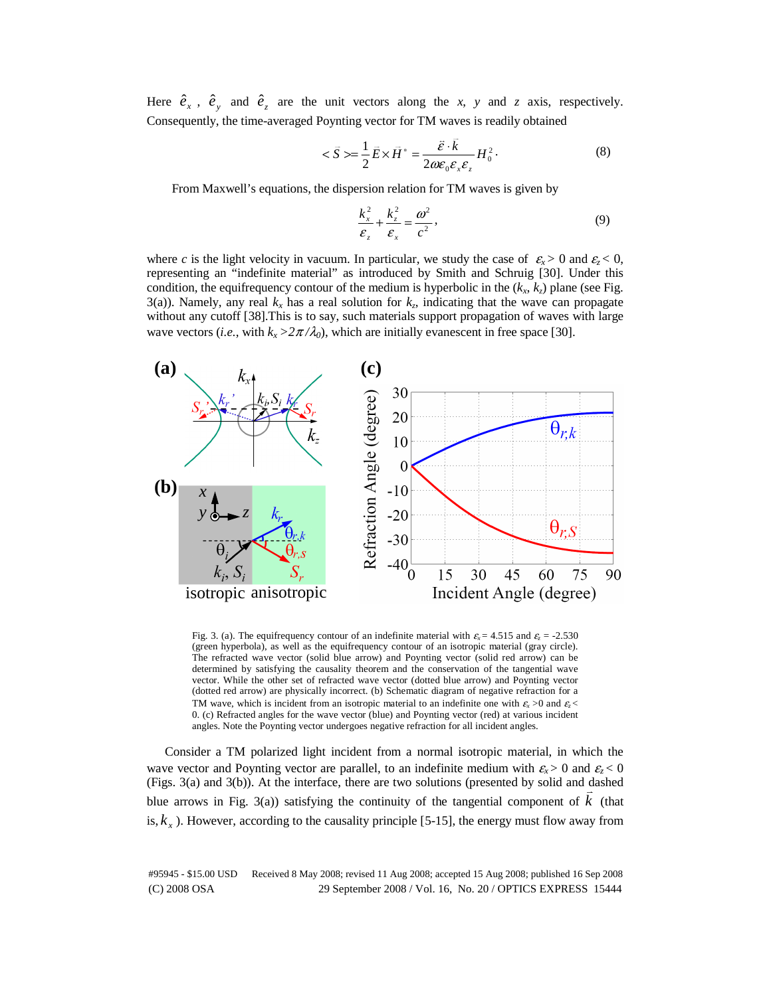Here  $\hat{e}_x$ ,  $\hat{e}_y$  and  $\hat{e}_z$  are the unit vectors along the *x*, *y* and *z* axis, respectively. Consequently, the time-averaged Poynting vector for TM waves is readily obtained

$$
\langle \vec{S} \rangle = \frac{1}{2} \vec{E} \times \vec{H}^* = \frac{\vec{\varepsilon} \cdot \vec{k}}{2 \omega \varepsilon_0 \varepsilon_x \varepsilon_z} H_0^2. \tag{8}
$$

From Maxwell's equations, the dispersion relation for TM waves is given by

$$
\frac{k_x^2}{\varepsilon_z} + \frac{k_z^2}{\varepsilon_x} = \frac{\omega^2}{c^2},\tag{9}
$$

where *c* is the light velocity in vacuum. In particular, we study the case of  $\varepsilon_r > 0$  and  $\varepsilon_r < 0$ , representing an "indefinite material" as introduced by Smith and Schruig [30]. Under this condition, the equifrequency contour of the medium is hyperbolic in the  $(k_x, k_z)$  plane (see Fig. 3(a)). Namely, any real  $k_x$  has a real solution for  $k_z$ , indicating that the wave can propagate without any cutoff [38].This is to say, such materials support propagation of waves with large wave vectors (*i.e.*, with  $k_x > 2\pi/\lambda_0$ ), which are initially evanescent in free space [30].



Fig. 3. (a). The equifrequency contour of an indefinite material with  $\varepsilon_x$  = 4.515 and  $\varepsilon_z$  = -2.530 (green hyperbola), as well as the equifrequency contour of an isotropic material (gray circle). The refracted wave vector (solid blue arrow) and Poynting vector (solid red arrow) can be determined by satisfying the causality theorem and the conservation of the tangential wave vector. While the other set of refracted wave vector (dotted blue arrow) and Poynting vector (dotted red arrow) are physically incorrect. (b) Schematic diagram of negative refraction for a TM wave, which is incident from an isotropic material to an indefinite one with  $\varepsilon_x > 0$  and  $\varepsilon_z < 0$ 0. (c) Refracted angles for the wave vector (blue) and Poynting vector (red) at various incident angles. Note the Poynting vector undergoes negative refraction for all incident angles.

Consider a TM polarized light incident from a normal isotropic material, in which the wave vector and Poynting vector are parallel, to an indefinite medium with  $\varepsilon_x > 0$  and  $\varepsilon_z < 0$ (Figs. 3(a) and 3(b)). At the interface, there are two solutions (presented by solid and dashed blue arrows in Fig. 3(a)) satisfying the continuity of the tangential component of  $k$  (that is,  $k<sub>r</sub>$ ). However, according to the causality principle [5-15], the energy must flow away from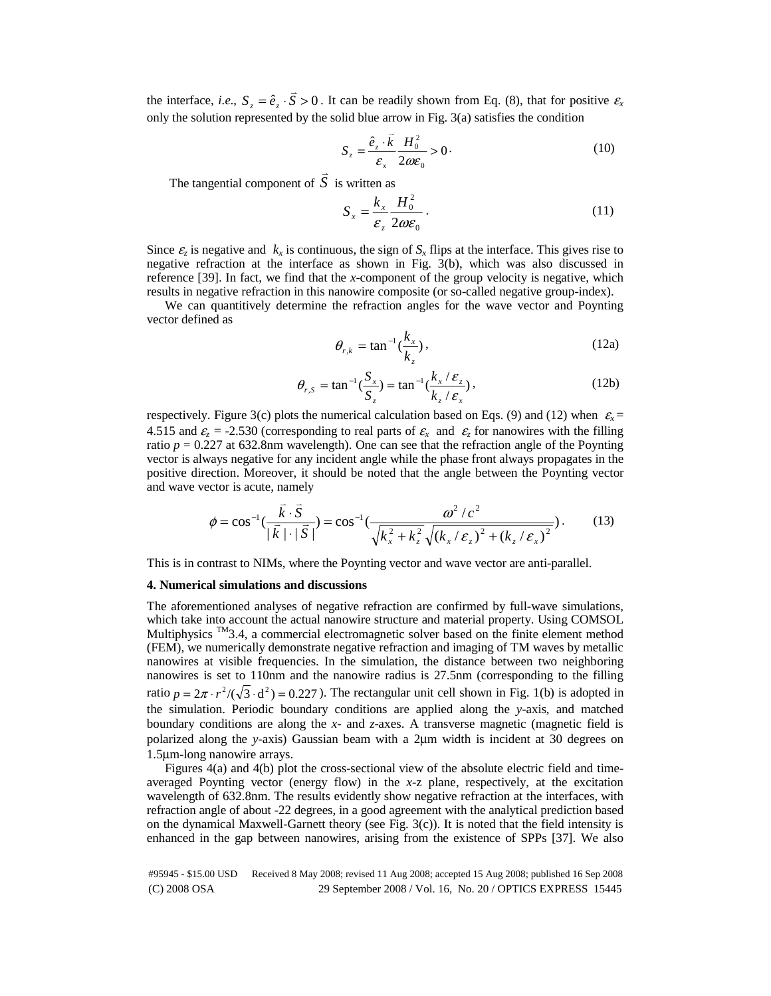the interface, *i.e.*,  $S_z = \hat{e}_z \cdot S > 0$ . It can be readily shown from Eq. (8), that for positive  $\epsilon_x$ only the solution represented by the solid blue arrow in Fig. 3(a) satisfies the condition

$$
S_z = \frac{\hat{e}_z \cdot \bar{k}}{\varepsilon_x} \frac{H_0^2}{2\omega \varepsilon_0} > 0.
$$
 (10)

The tangential component of  $\overline{S}$  is written as

$$
S_x = \frac{k_x}{\varepsilon_z} \frac{H_0^2}{2\omega \varepsilon_0} \,. \tag{11}
$$

Since  $\varepsilon$ <sub>z</sub> is negative and  $k_x$  is continuous, the sign of  $S_x$  flips at the interface. This gives rise to negative refraction at the interface as shown in Fig. 3(b), which was also discussed in reference [39]. In fact, we find that the *x*-component of the group velocity is negative, which results in negative refraction in this nanowire composite (or so-called negative group-index).

We can quantitively determine the refraction angles for the wave vector and Poynting vector defined as

$$
\theta_{r,k} = \tan^{-1}(\frac{k_x}{k_z}),\tag{12a}
$$

$$
\theta_{r,S} = \tan^{-1}(\frac{S_x}{S_z}) = \tan^{-1}(\frac{k_x/\varepsilon_z}{k_z/\varepsilon_x}),
$$
\n(12b)

respectively. Figure 3(c) plots the numerical calculation based on Eqs. (9) and (12) when  $\varepsilon_x$  = 4.515 and  $\varepsilon_z = -2.530$  (corresponding to real parts of  $\varepsilon_x$  and  $\varepsilon_z$  for nanowires with the filling ratio  $p = 0.227$  at 632.8nm wavelength). One can see that the refraction angle of the Poynting vector is always negative for any incident angle while the phase front always propagates in the positive direction. Moreover, it should be noted that the angle between the Poynting vector and wave vector is acute, namely

$$
\phi = \cos^{-1}\left(\frac{\vec{k} \cdot \vec{S}}{|\vec{k}| \cdot |\vec{S}|}\right) = \cos^{-1}\left(\frac{\omega^2/c^2}{\sqrt{k_x^2 + k_z^2} \sqrt{(k_x/\varepsilon_z)^2 + (k_z/\varepsilon_x)^2}}\right).
$$
(13)

This is in contrast to NIMs, where the Poynting vector and wave vector are anti-parallel.

### **4. Numerical simulations and discussions**

The aforementioned analyses of negative refraction are confirmed by full-wave simulations, which take into account the actual nanowire structure and material property. Using COMSOL Multiphysics  $\mathbb{M}$ 3.4, a commercial electromagnetic solver based on the finite element method (FEM), we numerically demonstrate negative refraction and imaging of TM waves by metallic nanowires at visible frequencies. In the simulation, the distance between two neighboring nanowires is set to 110nm and the nanowire radius is 27.5nm (corresponding to the filling ratio  $p = 2\pi \cdot r^2 /(\sqrt{3} \cdot d^2) = 0.227$ ). The rectangular unit cell shown in Fig. 1(b) is adopted in the simulation. Periodic boundary conditions are applied along the *y*-axis, and matched boundary conditions are along the *x*- and *z*-axes. A transverse magnetic (magnetic field is polarized along the *y*-axis) Gaussian beam with a 2μm width is incident at 30 degrees on 1.5μm-long nanowire arrays.

Figures 4(a) and 4(b) plot the cross-sectional view of the absolute electric field and timeaveraged Poynting vector (energy flow) in the *x*-z plane, respectively, at the excitation wavelength of 632.8nm. The results evidently show negative refraction at the interfaces, with refraction angle of about -22 degrees, in a good agreement with the analytical prediction based on the dynamical Maxwell-Garnett theory (see Fig. 3(c)). It is noted that the field intensity is enhanced in the gap between nanowires, arising from the existence of SPPs [37]. We also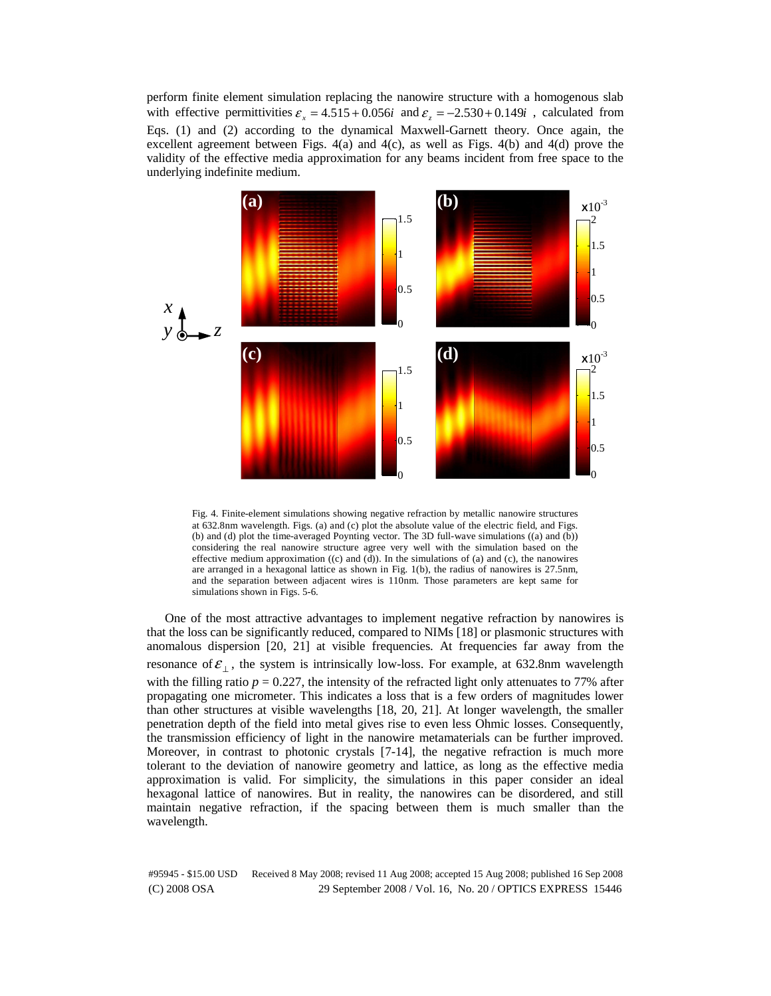perform finite element simulation replacing the nanowire structure with a homogenous slab with effective permittivities  $\varepsilon$ <sub>x</sub> = 4.515 + 0.056*i* and  $\varepsilon$ <sub>z</sub> = -2.530 + 0.149*i*, calculated from Eqs. (1) and (2) according to the dynamical Maxwell-Garnett theory. Once again, the excellent agreement between Figs. 4(a) and 4(c), as well as Figs. 4(b) and 4(d) prove the validity of the effective media approximation for any beams incident from free space to the underlying indefinite medium.



Fig. 4. Finite-element simulations showing negative refraction by metallic nanowire structures at 632.8nm wavelength. Figs. (a) and (c) plot the absolute value of the electric field, and Figs. (b) and (d) plot the time-averaged Poynting vector. The 3D full-wave simulations ((a) and (b)) considering the real nanowire structure agree very well with the simulation based on the effective medium approximation  $((c)$  and  $(d)$ ). In the simulations of (a) and (c), the nanowires are arranged in a hexagonal lattice as shown in Fig. 1(b), the radius of nanowires is 27.5nm, and the separation between adjacent wires is 110nm. Those parameters are kept same for simulations shown in Figs. 5-6.

One of the most attractive advantages to implement negative refraction by nanowires is that the loss can be significantly reduced, compared to NIMs [18] or plasmonic structures with anomalous dispersion [20, 21] at visible frequencies. At frequencies far away from the resonance of  $\varepsilon_+$ , the system is intrinsically low-loss. For example, at 632.8nm wavelength with the filling ratio  $p = 0.227$ , the intensity of the refracted light only attenuates to 77% after propagating one micrometer. This indicates a loss that is a few orders of magnitudes lower than other structures at visible wavelengths [18, 20, 21]. At longer wavelength, the smaller penetration depth of the field into metal gives rise to even less Ohmic losses. Consequently, the transmission efficiency of light in the nanowire metamaterials can be further improved. Moreover, in contrast to photonic crystals [7-14], the negative refraction is much more tolerant to the deviation of nanowire geometry and lattice, as long as the effective media approximation is valid. For simplicity, the simulations in this paper consider an ideal hexagonal lattice of nanowires. But in reality, the nanowires can be disordered, and still maintain negative refraction, if the spacing between them is much smaller than the wavelength.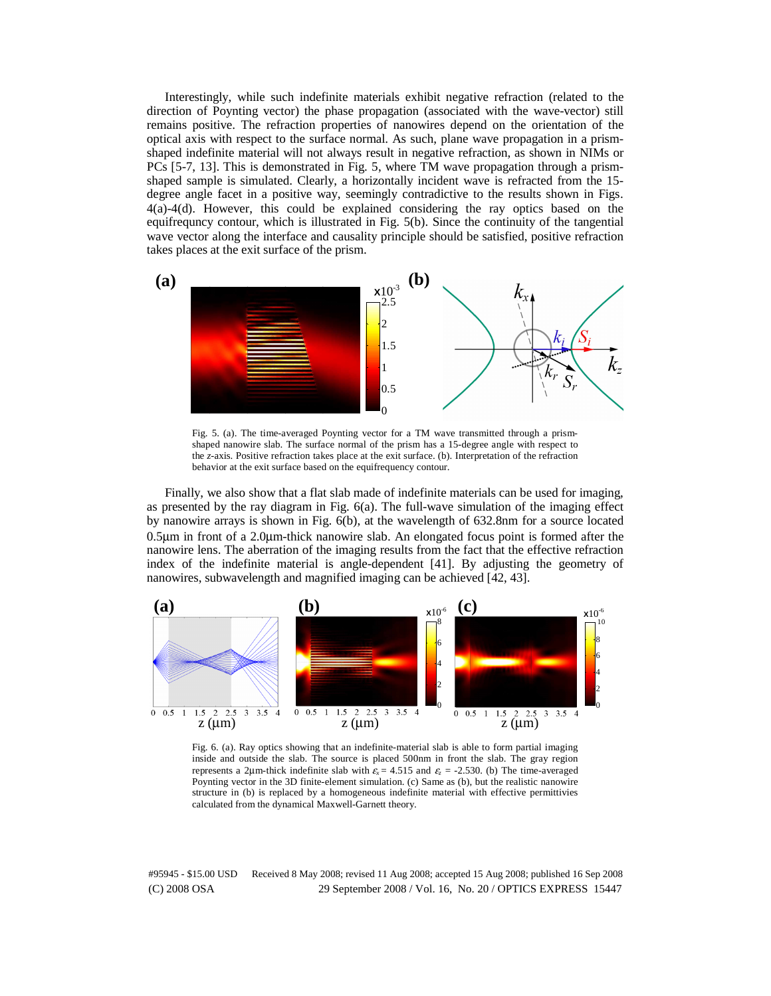Interestingly, while such indefinite materials exhibit negative refraction (related to the direction of Poynting vector) the phase propagation (associated with the wave-vector) still remains positive. The refraction properties of nanowires depend on the orientation of the optical axis with respect to the surface normal. As such, plane wave propagation in a prismshaped indefinite material will not always result in negative refraction, as shown in NIMs or PCs [5-7, 13]. This is demonstrated in Fig. 5, where TM wave propagation through a prismshaped sample is simulated. Clearly, a horizontally incident wave is refracted from the 15 degree angle facet in a positive way, seemingly contradictive to the results shown in Figs. 4(a)-4(d). However, this could be explained considering the ray optics based on the equifrequncy contour, which is illustrated in Fig. 5(b). Since the continuity of the tangential wave vector along the interface and causality principle should be satisfied, positive refraction takes places at the exit surface of the prism.



Fig. 5. (a). The time-averaged Poynting vector for a TM wave transmitted through a prismshaped nanowire slab. The surface normal of the prism has a 15-degree angle with respect to the *z*-axis. Positive refraction takes place at the exit surface. (b). Interpretation of the refraction behavior at the exit surface based on the equifrequency contour.

Finally, we also show that a flat slab made of indefinite materials can be used for imaging, as presented by the ray diagram in Fig. 6(a). The full-wave simulation of the imaging effect by nanowire arrays is shown in Fig. 6(b), at the wavelength of 632.8nm for a source located 0.5μm in front of a 2.0μm-thick nanowire slab. An elongated focus point is formed after the nanowire lens. The aberration of the imaging results from the fact that the effective refraction index of the indefinite material is angle-dependent [41]. By adjusting the geometry of nanowires, subwavelength and magnified imaging can be achieved [42, 43].



Fig. 6. (a). Ray optics showing that an indefinite-material slab is able to form partial imaging inside and outside the slab. The source is placed 500nm in front the slab. The gray region represents a 2µm-thick indefinite slab with  $\varepsilon$ <sub>x</sub> = 4.515 and  $\varepsilon$  = -2.530. (b) The time-averaged Poynting vector in the 3D finite-element simulation. (c) Same as (b), but the realistic nanowire structure in (b) is replaced by a homogeneous indefinite material with effective permittivies calculated from the dynamical Maxwell-Garnett theory.